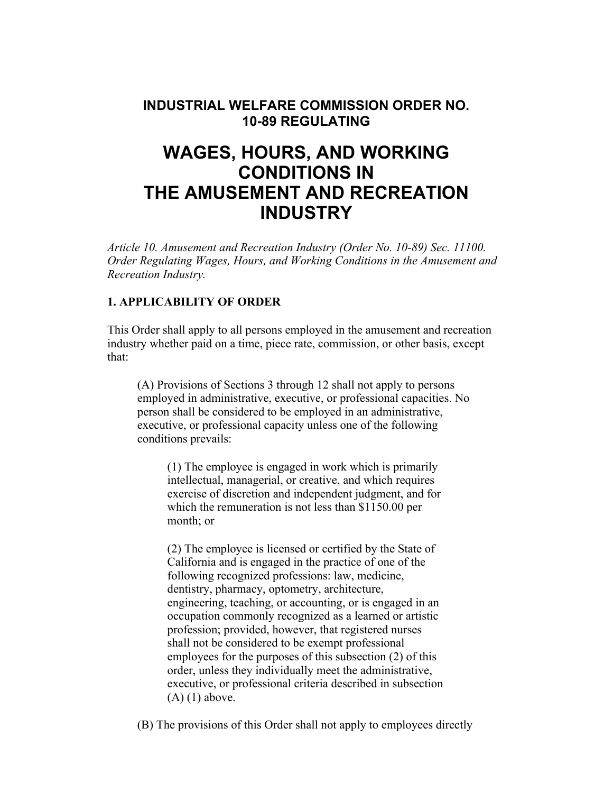# **INDUSTRIAL WELFARE COMMISSION ORDER NO. 10-89 REGULATING**

# **WAGES, HOURS, AND WORKING CONDITIONS IN THE AMUSEMENT AND RECREATION INDUSTRY**

*Article 10. Amusement and Recreation Industry (Order No. 10-89) Sec. 11100. Order Regulating Wages, Hours, and Working Conditions in the Amusement and Recreation Industry.* 

## **1. APPLICABILITY OF ORDER**

This Order shall apply to all persons employed in the amusement and recreation industry whether paid on a time, piece rate, commission, or other basis, except that:

(A) Provisions of Sections 3 through 12 shall not apply to persons employed in administrative, executive, or professional capacities. No person shall be considered to be employed in an administrative, executive, or professional capacity unless one of the following conditions prevails:

(1) The employee is engaged in work which is primarily intellectual, managerial, or creative, and which requires exercise of discretion and independent judgment, and for which the remuneration is not less than \$1150.00 per month; or

(2) The employee is licensed or certified by the State of California and is engaged in the practice of one of the following recognized professions: law, medicine, dentistry, pharmacy, optometry, architecture, engineering, teaching, or accounting, or is engaged in an occupation commonly recognized as a learned or artistic profession; provided, however, that registered nurses shall not be considered to be exempt professional employees for the purposes of this subsection (2) of this order, unless they individually meet the administrative, executive, or professional criteria described in subsection  $(A)$  (1) above.

(B) The provisions of this Order shall not apply to employees directly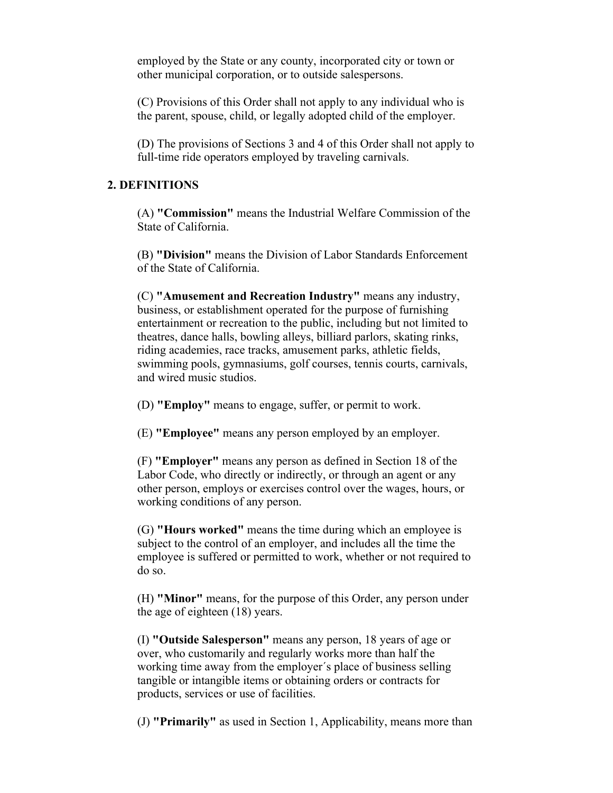employed by the State or any county, incorporated city or town or other municipal corporation, or to outside salespersons.

(C) Provisions of this Order shall not apply to any individual who is the parent, spouse, child, or legally adopted child of the employer.

(D) The provisions of Sections 3 and 4 of this Order shall not apply to full-time ride operators employed by traveling carnivals.

### **2. DEFINITIONS**

(A) **"Commission"** means the Industrial Welfare Commission of the State of California.

(B) **"Division"** means the Division of Labor Standards Enforcement of the State of California.

(C) **"Amusement and Recreation Industry"** means any industry, business, or establishment operated for the purpose of furnishing entertainment or recreation to the public, including but not limited to theatres, dance halls, bowling alleys, billiard parlors, skating rinks, riding academies, race tracks, amusement parks, athletic fields, swimming pools, gymnasiums, golf courses, tennis courts, carnivals, and wired music studios.

(D) **"Employ"** means to engage, suffer, or permit to work.

(E) **"Employee"** means any person employed by an employer.

(F) **"Employer"** means any person as defined in Section 18 of the Labor Code, who directly or indirectly, or through an agent or any other person, employs or exercises control over the wages, hours, or working conditions of any person.

(G) **"Hours worked"** means the time during which an employee is subject to the control of an employer, and includes all the time the employee is suffered or permitted to work, whether or not required to do so.

(H) **"Minor"** means, for the purpose of this Order, any person under the age of eighteen (18) years.

(I) **"Outside Salesperson"** means any person, 18 years of age or over, who customarily and regularly works more than half the working time away from the employer´s place of business selling tangible or intangible items or obtaining orders or contracts for products, services or use of facilities.

(J) **"Primarily"** as used in Section 1, Applicability, means more than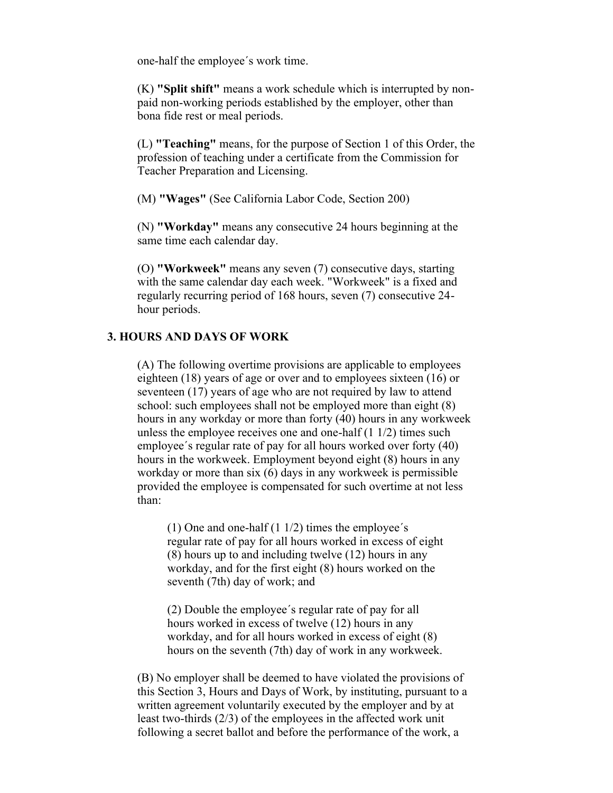one-half the employee´s work time.

(K) **"Split shift"** means a work schedule which is interrupted by nonpaid non-working periods established by the employer, other than bona fide rest or meal periods.

(L) **"Teaching"** means, for the purpose of Section 1 of this Order, the profession of teaching under a certificate from the Commission for Teacher Preparation and Licensing.

(M) **"Wages"** (See California Labor Code, Section 200)

(N) **"Workday"** means any consecutive 24 hours beginning at the same time each calendar day.

(O) **"Workweek"** means any seven (7) consecutive days, starting with the same calendar day each week. "Workweek" is a fixed and regularly recurring period of 168 hours, seven (7) consecutive 24 hour periods.

## **3. HOURS AND DAYS OF WORK**

(A) The following overtime provisions are applicable to employees eighteen (18) years of age or over and to employees sixteen (16) or seventeen (17) years of age who are not required by law to attend school: such employees shall not be employed more than eight (8) hours in any workday or more than forty (40) hours in any workweek unless the employee receives one and one-half (1 1/2) times such employee´s regular rate of pay for all hours worked over forty (40) hours in the workweek. Employment beyond eight (8) hours in any workday or more than six (6) days in any workweek is permissible provided the employee is compensated for such overtime at not less than:

(1) One and one-half  $(1\ 1/2)$  times the employee's regular rate of pay for all hours worked in excess of eight (8) hours up to and including twelve (12) hours in any workday, and for the first eight (8) hours worked on the seventh (7th) day of work; and

(2) Double the employee´s regular rate of pay for all hours worked in excess of twelve (12) hours in any workday, and for all hours worked in excess of eight (8) hours on the seventh (7th) day of work in any workweek.

(B) No employer shall be deemed to have violated the provisions of this Section 3, Hours and Days of Work, by instituting, pursuant to a written agreement voluntarily executed by the employer and by at least two-thirds (2/3) of the employees in the affected work unit following a secret ballot and before the performance of the work, a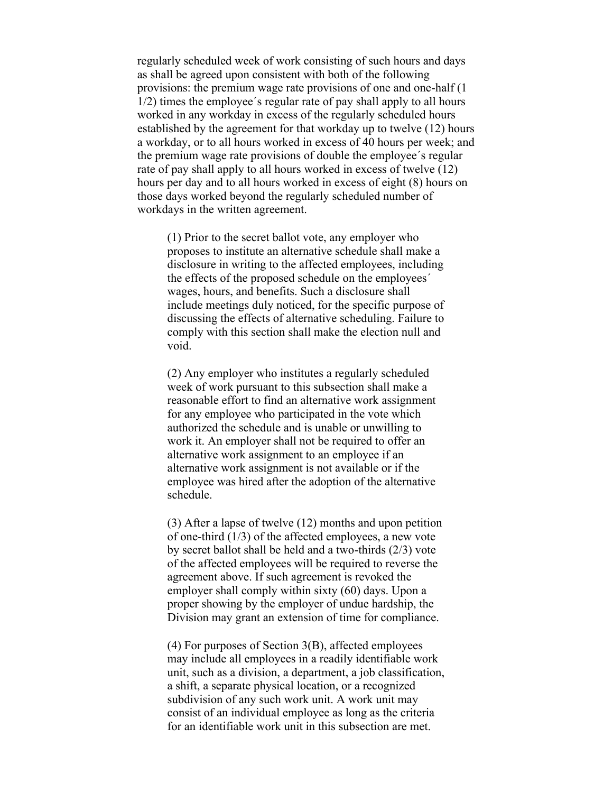regularly scheduled week of work consisting of such hours and days as shall be agreed upon consistent with both of the following provisions: the premium wage rate provisions of one and one-half (1 1/2) times the employee´s regular rate of pay shall apply to all hours worked in any workday in excess of the regularly scheduled hours established by the agreement for that workday up to twelve (12) hours a workday, or to all hours worked in excess of 40 hours per week; and the premium wage rate provisions of double the employee´s regular rate of pay shall apply to all hours worked in excess of twelve (12) hours per day and to all hours worked in excess of eight (8) hours on those days worked beyond the regularly scheduled number of workdays in the written agreement.

(1) Prior to the secret ballot vote, any employer who proposes to institute an alternative schedule shall make a disclosure in writing to the affected employees, including the effects of the proposed schedule on the employees´ wages, hours, and benefits. Such a disclosure shall include meetings duly noticed, for the specific purpose of discussing the effects of alternative scheduling. Failure to comply with this section shall make the election null and void.

(2) Any employer who institutes a regularly scheduled week of work pursuant to this subsection shall make a reasonable effort to find an alternative work assignment for any employee who participated in the vote which authorized the schedule and is unable or unwilling to work it. An employer shall not be required to offer an alternative work assignment to an employee if an alternative work assignment is not available or if the employee was hired after the adoption of the alternative schedule.

(3) After a lapse of twelve (12) months and upon petition of one-third (1/3) of the affected employees, a new vote by secret ballot shall be held and a two-thirds (2/3) vote of the affected employees will be required to reverse the agreement above. If such agreement is revoked the employer shall comply within sixty (60) days. Upon a proper showing by the employer of undue hardship, the Division may grant an extension of time for compliance.

(4) For purposes of Section 3(B), affected employees may include all employees in a readily identifiable work unit, such as a division, a department, a job classification, a shift, a separate physical location, or a recognized subdivision of any such work unit. A work unit may consist of an individual employee as long as the criteria for an identifiable work unit in this subsection are met.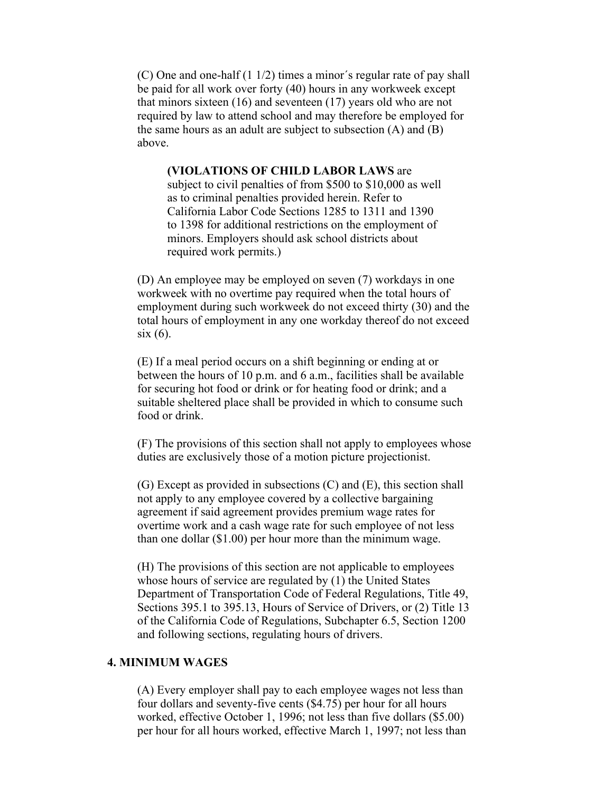(C) One and one-half (1 1/2) times a minor´s regular rate of pay shall be paid for all work over forty (40) hours in any workweek except that minors sixteen (16) and seventeen (17) years old who are not required by law to attend school and may therefore be employed for the same hours as an adult are subject to subsection (A) and (B) above.

**(VIOLATIONS OF CHILD LABOR LAWS** are subject to civil penalties of from \$500 to \$10,000 as well as to criminal penalties provided herein. Refer to California Labor Code Sections 1285 to 1311 and 1390 to 1398 for additional restrictions on the employment of minors. Employers should ask school districts about required work permits.)

(D) An employee may be employed on seven (7) workdays in one workweek with no overtime pay required when the total hours of employment during such workweek do not exceed thirty (30) and the total hours of employment in any one workday thereof do not exceed  $s$ ix  $(6)$ .

(E) If a meal period occurs on a shift beginning or ending at or between the hours of 10 p.m. and 6 a.m., facilities shall be available for securing hot food or drink or for heating food or drink; and a suitable sheltered place shall be provided in which to consume such food or drink.

(F) The provisions of this section shall not apply to employees whose duties are exclusively those of a motion picture projectionist.

(G) Except as provided in subsections (C) and (E), this section shall not apply to any employee covered by a collective bargaining agreement if said agreement provides premium wage rates for overtime work and a cash wage rate for such employee of not less than one dollar (\$1.00) per hour more than the minimum wage.

(H) The provisions of this section are not applicable to employees whose hours of service are regulated by (1) the United States Department of Transportation Code of Federal Regulations, Title 49, Sections 395.1 to 395.13, Hours of Service of Drivers, or (2) Title 13 of the California Code of Regulations, Subchapter 6.5, Section 1200 and following sections, regulating hours of drivers.

#### **4. MINIMUM WAGES**

(A) Every employer shall pay to each employee wages not less than four dollars and seventy-five cents (\$4.75) per hour for all hours worked, effective October 1, 1996; not less than five dollars (\$5.00) per hour for all hours worked, effective March 1, 1997; not less than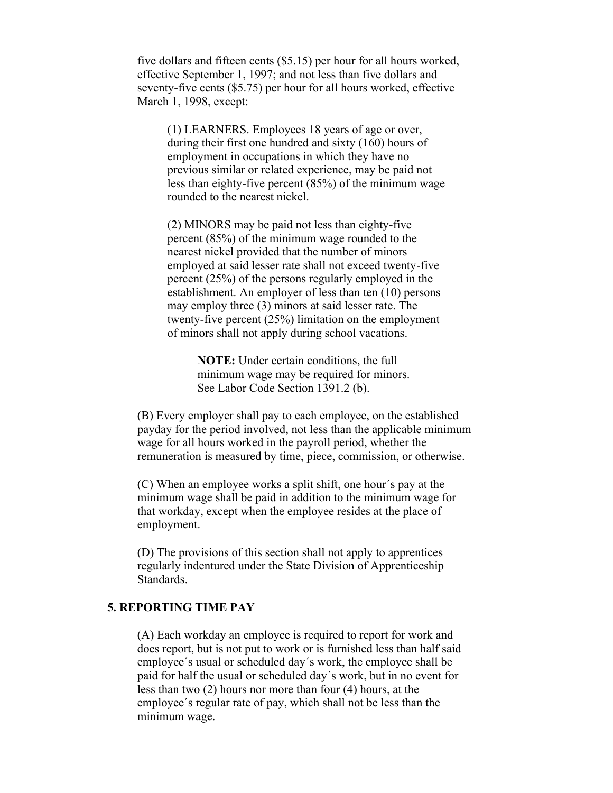five dollars and fifteen cents (\$5.15) per hour for all hours worked, effective September 1, 1997; and not less than five dollars and seventy-five cents (\$5.75) per hour for all hours worked, effective March 1, 1998, except:

(1) LEARNERS. Employees 18 years of age or over, during their first one hundred and sixty (160) hours of employment in occupations in which they have no previous similar or related experience, may be paid not less than eighty-five percent (85%) of the minimum wage rounded to the nearest nickel.

(2) MINORS may be paid not less than eighty-five percent (85%) of the minimum wage rounded to the nearest nickel provided that the number of minors employed at said lesser rate shall not exceed twenty-five percent (25%) of the persons regularly employed in the establishment. An employer of less than ten (10) persons may employ three (3) minors at said lesser rate. The twenty-five percent (25%) limitation on the employment of minors shall not apply during school vacations.

> **NOTE:** Under certain conditions, the full minimum wage may be required for minors. See Labor Code Section 1391.2 (b).

(B) Every employer shall pay to each employee, on the established payday for the period involved, not less than the applicable minimum wage for all hours worked in the payroll period, whether the remuneration is measured by time, piece, commission, or otherwise.

(C) When an employee works a split shift, one hour´s pay at the minimum wage shall be paid in addition to the minimum wage for that workday, except when the employee resides at the place of employment.

(D) The provisions of this section shall not apply to apprentices regularly indentured under the State Division of Apprenticeship Standards.

## **5. REPORTING TIME PAY**

(A) Each workday an employee is required to report for work and does report, but is not put to work or is furnished less than half said employee´s usual or scheduled day´s work, the employee shall be paid for half the usual or scheduled day´s work, but in no event for less than two (2) hours nor more than four (4) hours, at the employee´s regular rate of pay, which shall not be less than the minimum wage.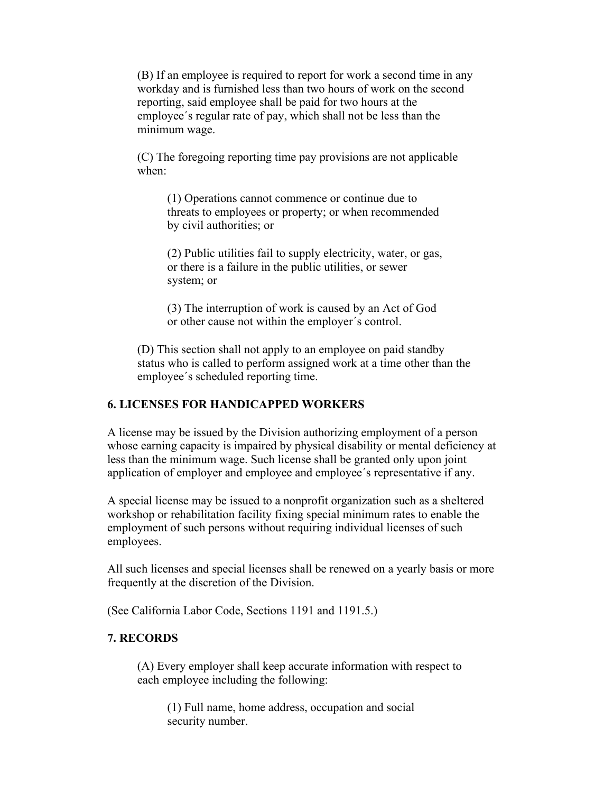(B) If an employee is required to report for work a second time in any workday and is furnished less than two hours of work on the second reporting, said employee shall be paid for two hours at the employee´s regular rate of pay, which shall not be less than the minimum wage.

(C) The foregoing reporting time pay provisions are not applicable when:

(1) Operations cannot commence or continue due to threats to employees or property; or when recommended by civil authorities; or

(2) Public utilities fail to supply electricity, water, or gas, or there is a failure in the public utilities, or sewer system; or

(3) The interruption of work is caused by an Act of God or other cause not within the employer´s control.

(D) This section shall not apply to an employee on paid standby status who is called to perform assigned work at a time other than the employee´s scheduled reporting time.

### **6. LICENSES FOR HANDICAPPED WORKERS**

A license may be issued by the Division authorizing employment of a person whose earning capacity is impaired by physical disability or mental deficiency at less than the minimum wage. Such license shall be granted only upon joint application of employer and employee and employee´s representative if any.

A special license may be issued to a nonprofit organization such as a sheltered workshop or rehabilitation facility fixing special minimum rates to enable the employment of such persons without requiring individual licenses of such employees.

All such licenses and special licenses shall be renewed on a yearly basis or more frequently at the discretion of the Division.

(See California Labor Code, Sections 1191 and 1191.5.)

#### **7. RECORDS**

(A) Every employer shall keep accurate information with respect to each employee including the following:

(1) Full name, home address, occupation and social security number.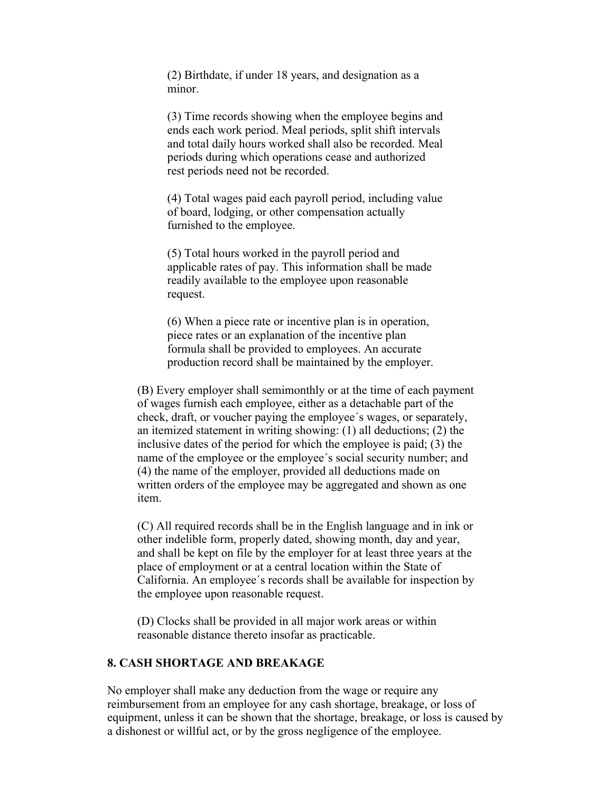(2) Birthdate, if under 18 years, and designation as a minor.

(3) Time records showing when the employee begins and ends each work period. Meal periods, split shift intervals and total daily hours worked shall also be recorded. Meal periods during which operations cease and authorized rest periods need not be recorded.

(4) Total wages paid each payroll period, including value of board, lodging, or other compensation actually furnished to the employee.

(5) Total hours worked in the payroll period and applicable rates of pay. This information shall be made readily available to the employee upon reasonable request.

(6) When a piece rate or incentive plan is in operation, piece rates or an explanation of the incentive plan formula shall be provided to employees. An accurate production record shall be maintained by the employer.

(B) Every employer shall semimonthly or at the time of each payment of wages furnish each employee, either as a detachable part of the check, draft, or voucher paying the employee´s wages, or separately, an itemized statement in writing showing: (1) all deductions; (2) the inclusive dates of the period for which the employee is paid; (3) the name of the employee or the employee´s social security number; and (4) the name of the employer, provided all deductions made on written orders of the employee may be aggregated and shown as one item.

(C) All required records shall be in the English language and in ink or other indelible form, properly dated, showing month, day and year, and shall be kept on file by the employer for at least three years at the place of employment or at a central location within the State of California. An employee´s records shall be available for inspection by the employee upon reasonable request.

(D) Clocks shall be provided in all major work areas or within reasonable distance thereto insofar as practicable.

#### **8. CASH SHORTAGE AND BREAKAGE**

No employer shall make any deduction from the wage or require any reimbursement from an employee for any cash shortage, breakage, or loss of equipment, unless it can be shown that the shortage, breakage, or loss is caused by a dishonest or willful act, or by the gross negligence of the employee.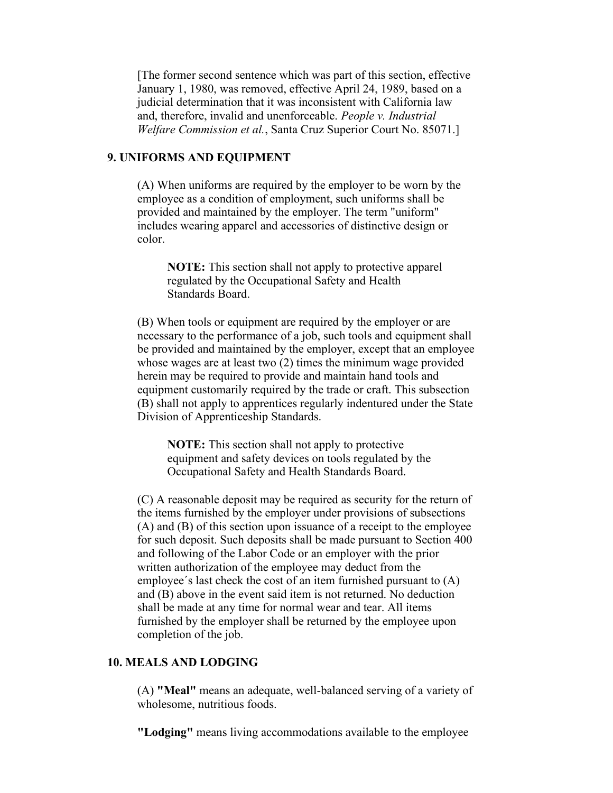[The former second sentence which was part of this section, effective January 1, 1980, was removed, effective April 24, 1989, based on a judicial determination that it was inconsistent with California law and, therefore, invalid and unenforceable. *People v. Industrial Welfare Commission et al.*, Santa Cruz Superior Court No. 85071.]

#### **9. UNIFORMS AND EQUIPMENT**

(A) When uniforms are required by the employer to be worn by the employee as a condition of employment, such uniforms shall be provided and maintained by the employer. The term "uniform" includes wearing apparel and accessories of distinctive design or color.

**NOTE:** This section shall not apply to protective apparel regulated by the Occupational Safety and Health Standards Board.

(B) When tools or equipment are required by the employer or are necessary to the performance of a job, such tools and equipment shall be provided and maintained by the employer, except that an employee whose wages are at least two (2) times the minimum wage provided herein may be required to provide and maintain hand tools and equipment customarily required by the trade or craft. This subsection (B) shall not apply to apprentices regularly indentured under the State Division of Apprenticeship Standards.

**NOTE:** This section shall not apply to protective equipment and safety devices on tools regulated by the Occupational Safety and Health Standards Board.

(C) A reasonable deposit may be required as security for the return of the items furnished by the employer under provisions of subsections (A) and (B) of this section upon issuance of a receipt to the employee for such deposit. Such deposits shall be made pursuant to Section 400 and following of the Labor Code or an employer with the prior written authorization of the employee may deduct from the employee´s last check the cost of an item furnished pursuant to (A) and (B) above in the event said item is not returned. No deduction shall be made at any time for normal wear and tear. All items furnished by the employer shall be returned by the employee upon completion of the job.

#### **10. MEALS AND LODGING**

(A) **"Meal"** means an adequate, well-balanced serving of a variety of wholesome, nutritious foods.

**"Lodging"** means living accommodations available to the employee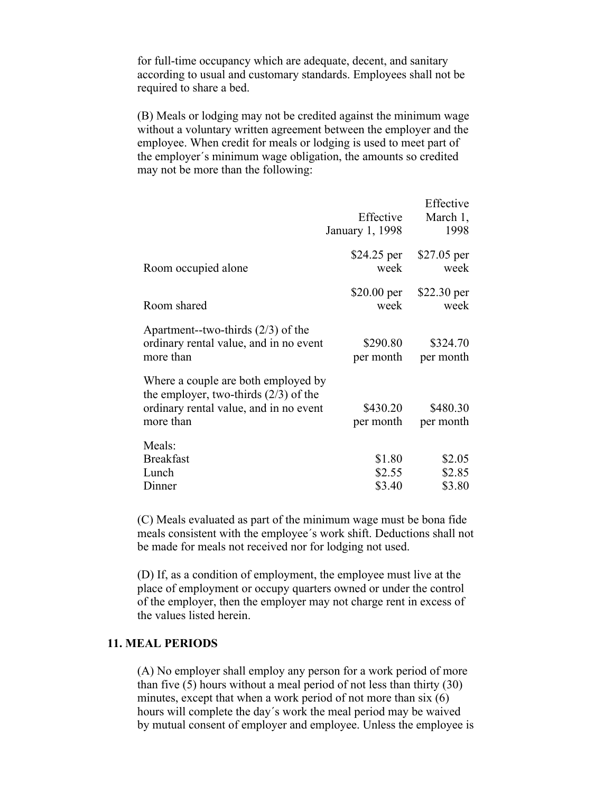for full-time occupancy which are adequate, decent, and sanitary according to usual and customary standards. Employees shall not be required to share a bed.

(B) Meals or lodging may not be credited against the minimum wage without a voluntary written agreement between the employer and the employee. When credit for meals or lodging is used to meet part of the employer´s minimum wage obligation, the amounts so credited may not be more than the following:

|                                                                                                                                       | Effective<br>January 1, 1998 | Effective<br>March 1,<br>1998 |
|---------------------------------------------------------------------------------------------------------------------------------------|------------------------------|-------------------------------|
| Room occupied alone                                                                                                                   | $$24.25$ per<br>week         | $$27.05$ per<br>week          |
| Room shared                                                                                                                           | \$20.00 per<br>week          | $$22.30$ per<br>week          |
| Apartment--two-thirds $(2/3)$ of the<br>ordinary rental value, and in no event<br>more than                                           | \$290.80<br>per month        | \$324.70<br>per month         |
| Where a couple are both employed by<br>the employer, two-thirds $(2/3)$ of the<br>ordinary rental value, and in no event<br>more than | \$430.20<br>per month        | \$480.30<br>per month         |
| Meals:<br><b>Breakfast</b><br>Lunch<br>Dinner                                                                                         | \$1.80<br>\$2.55<br>\$3.40   | \$2.05<br>\$2.85<br>\$3.80    |

(C) Meals evaluated as part of the minimum wage must be bona fide meals consistent with the employee´s work shift. Deductions shall not be made for meals not received nor for lodging not used.

(D) If, as a condition of employment, the employee must live at the place of employment or occupy quarters owned or under the control of the employer, then the employer may not charge rent in excess of the values listed herein.

#### **11. MEAL PERIODS**

(A) No employer shall employ any person for a work period of more than five (5) hours without a meal period of not less than thirty (30) minutes, except that when a work period of not more than six (6) hours will complete the day´s work the meal period may be waived by mutual consent of employer and employee. Unless the employee is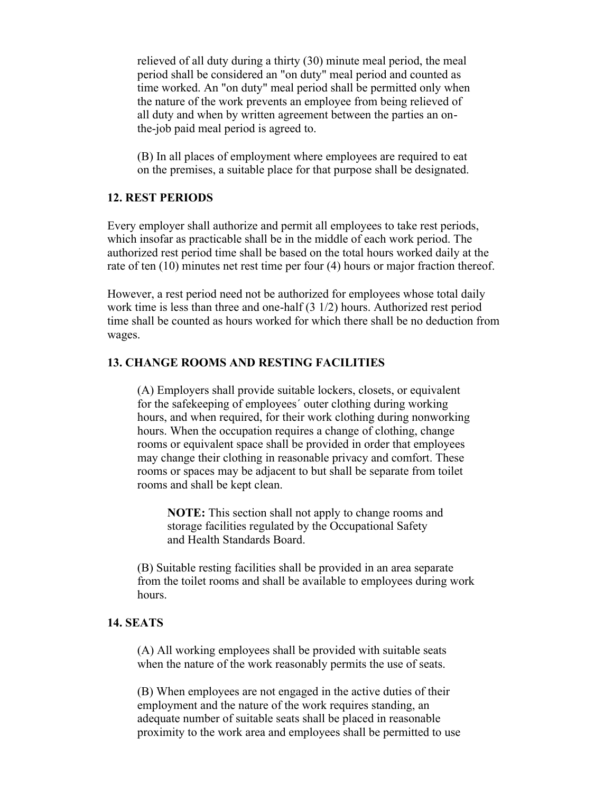relieved of all duty during a thirty (30) minute meal period, the meal period shall be considered an "on duty" meal period and counted as time worked. An "on duty" meal period shall be permitted only when the nature of the work prevents an employee from being relieved of all duty and when by written agreement between the parties an onthe-job paid meal period is agreed to.

(B) In all places of employment where employees are required to eat on the premises, a suitable place for that purpose shall be designated.

### **12. REST PERIODS**

Every employer shall authorize and permit all employees to take rest periods, which insofar as practicable shall be in the middle of each work period. The authorized rest period time shall be based on the total hours worked daily at the rate of ten (10) minutes net rest time per four (4) hours or major fraction thereof.

However, a rest period need not be authorized for employees whose total daily work time is less than three and one-half (3 1/2) hours. Authorized rest period time shall be counted as hours worked for which there shall be no deduction from wages.

### **13. CHANGE ROOMS AND RESTING FACILITIES**

(A) Employers shall provide suitable lockers, closets, or equivalent for the safekeeping of employees´ outer clothing during working hours, and when required, for their work clothing during nonworking hours. When the occupation requires a change of clothing, change rooms or equivalent space shall be provided in order that employees may change their clothing in reasonable privacy and comfort. These rooms or spaces may be adjacent to but shall be separate from toilet rooms and shall be kept clean.

**NOTE:** This section shall not apply to change rooms and storage facilities regulated by the Occupational Safety and Health Standards Board.

(B) Suitable resting facilities shall be provided in an area separate from the toilet rooms and shall be available to employees during work hours.

## **14. SEATS**

(A) All working employees shall be provided with suitable seats when the nature of the work reasonably permits the use of seats.

(B) When employees are not engaged in the active duties of their employment and the nature of the work requires standing, an adequate number of suitable seats shall be placed in reasonable proximity to the work area and employees shall be permitted to use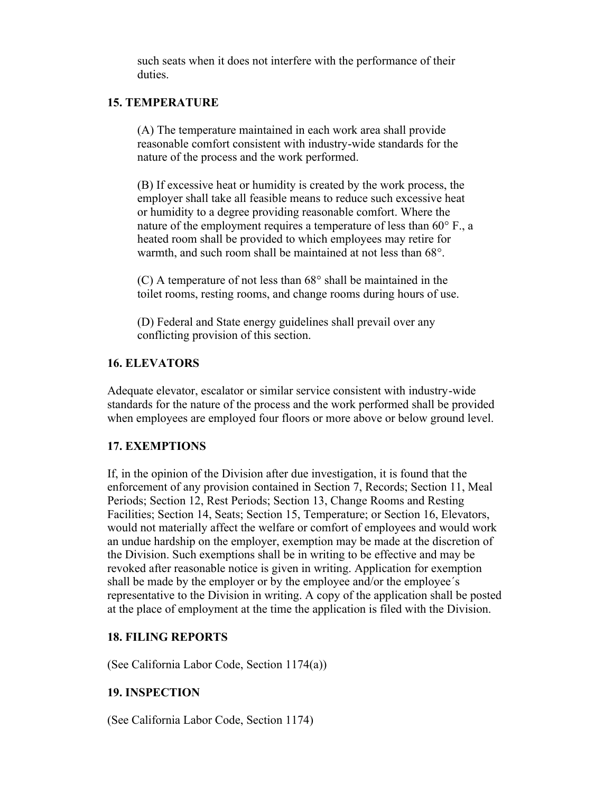such seats when it does not interfere with the performance of their duties.

## **15. TEMPERATURE**

(A) The temperature maintained in each work area shall provide reasonable comfort consistent with industry-wide standards for the nature of the process and the work performed.

(B) If excessive heat or humidity is created by the work process, the employer shall take all feasible means to reduce such excessive heat or humidity to a degree providing reasonable comfort. Where the nature of the employment requires a temperature of less than 60° F., a heated room shall be provided to which employees may retire for warmth, and such room shall be maintained at not less than 68°.

(C) A temperature of not less than 68° shall be maintained in the toilet rooms, resting rooms, and change rooms during hours of use.

(D) Federal and State energy guidelines shall prevail over any conflicting provision of this section.

# **16. ELEVATORS**

Adequate elevator, escalator or similar service consistent with industry-wide standards for the nature of the process and the work performed shall be provided when employees are employed four floors or more above or below ground level.

# **17. EXEMPTIONS**

If, in the opinion of the Division after due investigation, it is found that the enforcement of any provision contained in Section 7, Records; Section 11, Meal Periods; Section 12, Rest Periods; Section 13, Change Rooms and Resting Facilities; Section 14, Seats; Section 15, Temperature; or Section 16, Elevators, would not materially affect the welfare or comfort of employees and would work an undue hardship on the employer, exemption may be made at the discretion of the Division. Such exemptions shall be in writing to be effective and may be revoked after reasonable notice is given in writing. Application for exemption shall be made by the employer or by the employee and/or the employee's representative to the Division in writing. A copy of the application shall be posted at the place of employment at the time the application is filed with the Division.

# **18. FILING REPORTS**

(See California Labor Code, Section 1174(a))

# **19. INSPECTION**

(See California Labor Code, Section 1174)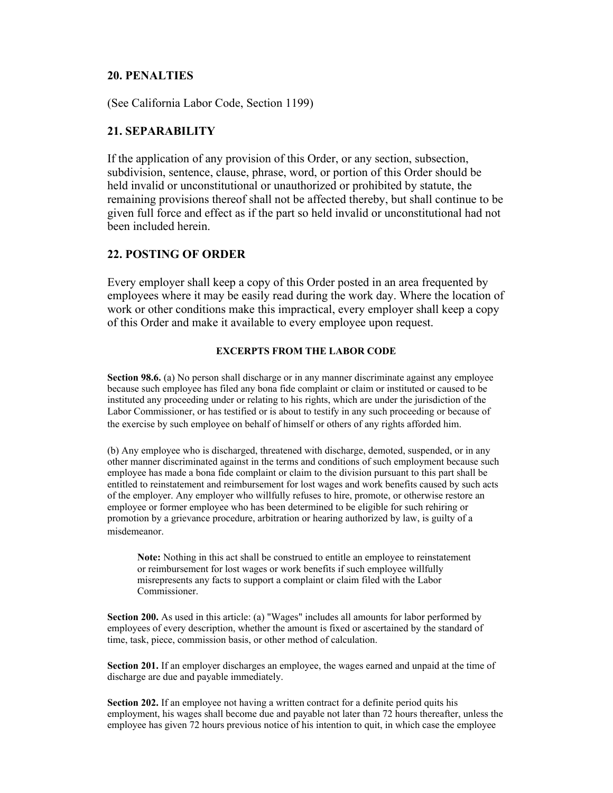#### **20. PENALTIES**

(See California Labor Code, Section 1199)

### **21. SEPARABILITY**

If the application of any provision of this Order, or any section, subsection, subdivision, sentence, clause, phrase, word, or portion of this Order should be held invalid or unconstitutional or unauthorized or prohibited by statute, the remaining provisions thereof shall not be affected thereby, but shall continue to be given full force and effect as if the part so held invalid or unconstitutional had not been included herein.

## **22. POSTING OF ORDER**

Every employer shall keep a copy of this Order posted in an area frequented by employees where it may be easily read during the work day. Where the location of work or other conditions make this impractical, every employer shall keep a copy of this Order and make it available to every employee upon request.

#### **EXCERPTS FROM THE LABOR CODE**

**Section 98.6.** (a) No person shall discharge or in any manner discriminate against any employee because such employee has filed any bona fide complaint or claim or instituted or caused to be instituted any proceeding under or relating to his rights, which are under the jurisdiction of the Labor Commissioner, or has testified or is about to testify in any such proceeding or because of the exercise by such employee on behalf of himself or others of any rights afforded him.

(b) Any employee who is discharged, threatened with discharge, demoted, suspended, or in any other manner discriminated against in the terms and conditions of such employment because such employee has made a bona fide complaint or claim to the division pursuant to this part shall be entitled to reinstatement and reimbursement for lost wages and work benefits caused by such acts of the employer. Any employer who willfully refuses to hire, promote, or otherwise restore an employee or former employee who has been determined to be eligible for such rehiring or promotion by a grievance procedure, arbitration or hearing authorized by law, is guilty of a misdemeanor.

**Note:** Nothing in this act shall be construed to entitle an employee to reinstatement or reimbursement for lost wages or work benefits if such employee willfully misrepresents any facts to support a complaint or claim filed with the Labor Commissioner.

**Section 200.** As used in this article: (a) "Wages" includes all amounts for labor performed by employees of every description, whether the amount is fixed or ascertained by the standard of time, task, piece, commission basis, or other method of calculation.

**Section 201.** If an employer discharges an employee, the wages earned and unpaid at the time of discharge are due and payable immediately.

**Section 202.** If an employee not having a written contract for a definite period quits his employment, his wages shall become due and payable not later than 72 hours thereafter, unless the employee has given 72 hours previous notice of his intention to quit, in which case the employee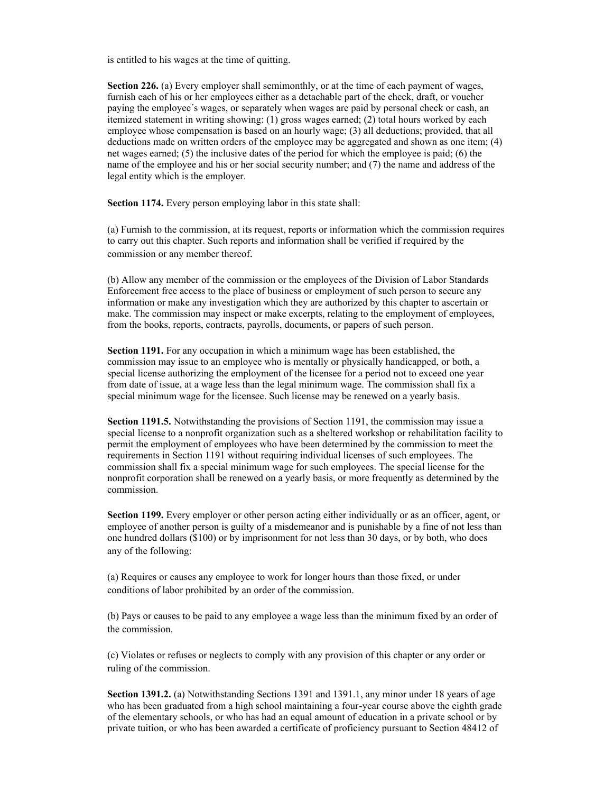is entitled to his wages at the time of quitting.

**Section 226.** (a) Every employer shall semimonthly, or at the time of each payment of wages, furnish each of his or her employees either as a detachable part of the check, draft, or voucher paying the employee´s wages, or separately when wages are paid by personal check or cash, an itemized statement in writing showing: (1) gross wages earned; (2) total hours worked by each employee whose compensation is based on an hourly wage; (3) all deductions; provided, that all deductions made on written orders of the employee may be aggregated and shown as one item; (4) net wages earned; (5) the inclusive dates of the period for which the employee is paid; (6) the name of the employee and his or her social security number; and (7) the name and address of the legal entity which is the employer.

**Section 1174.** Every person employing labor in this state shall:

(a) Furnish to the commission, at its request, reports or information which the commission requires to carry out this chapter. Such reports and information shall be verified if required by the commission or any member thereof.

(b) Allow any member of the commission or the employees of the Division of Labor Standards Enforcement free access to the place of business or employment of such person to secure any information or make any investigation which they are authorized by this chapter to ascertain or make. The commission may inspect or make excerpts, relating to the employment of employees, from the books, reports, contracts, payrolls, documents, or papers of such person.

**Section 1191.** For any occupation in which a minimum wage has been established, the commission may issue to an employee who is mentally or physically handicapped, or both, a special license authorizing the employment of the licensee for a period not to exceed one year from date of issue, at a wage less than the legal minimum wage. The commission shall fix a special minimum wage for the licensee. Such license may be renewed on a yearly basis.

**Section 1191.5.** Notwithstanding the provisions of Section 1191, the commission may issue a special license to a nonprofit organization such as a sheltered workshop or rehabilitation facility to permit the employment of employees who have been determined by the commission to meet the requirements in Section 1191 without requiring individual licenses of such employees. The commission shall fix a special minimum wage for such employees. The special license for the nonprofit corporation shall be renewed on a yearly basis, or more frequently as determined by the commission.

**Section 1199.** Every employer or other person acting either individually or as an officer, agent, or employee of another person is guilty of a misdemeanor and is punishable by a fine of not less than one hundred dollars (\$100) or by imprisonment for not less than 30 days, or by both, who does any of the following:

(a) Requires or causes any employee to work for longer hours than those fixed, or under conditions of labor prohibited by an order of the commission.

(b) Pays or causes to be paid to any employee a wage less than the minimum fixed by an order of the commission.

(c) Violates or refuses or neglects to comply with any provision of this chapter or any order or ruling of the commission.

**Section 1391.2.** (a) Notwithstanding Sections 1391 and 1391.1, any minor under 18 years of age who has been graduated from a high school maintaining a four-year course above the eighth grade of the elementary schools, or who has had an equal amount of education in a private school or by private tuition, or who has been awarded a certificate of proficiency pursuant to Section 48412 of